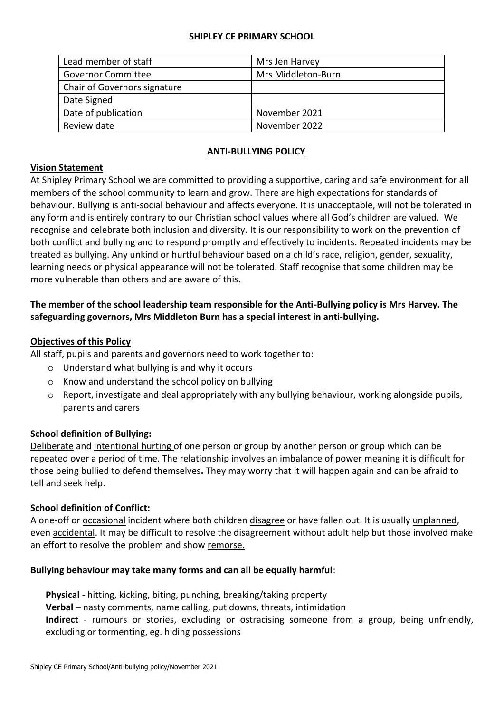#### **SHIPLEY CE PRIMARY SCHOOL**

| Lead member of staff         | Mrs Jen Harvey     |
|------------------------------|--------------------|
| <b>Governor Committee</b>    | Mrs Middleton-Burn |
| Chair of Governors signature |                    |
| Date Signed                  |                    |
| Date of publication          | November 2021      |
| Review date                  | November 2022      |

## **ANTI-BULLYING POLICY**

#### **Vision Statement**

At Shipley Primary School we are committed to providing a supportive, caring and safe environment for all members of the school community to learn and grow. There are high expectations for standards of behaviour. Bullying is anti-social behaviour and affects everyone. It is unacceptable, will not be tolerated in any form and is entirely contrary to our Christian school values where all God's children are valued. We recognise and celebrate both inclusion and diversity. It is our responsibility to work on the prevention of both conflict and bullying and to respond promptly and effectively to incidents. Repeated incidents may be treated as bullying. Any unkind or hurtful behaviour based on a child's race, religion, gender, sexuality, learning needs or physical appearance will not be tolerated. Staff recognise that some children may be more vulnerable than others and are aware of this.

# **The member of the school leadership team responsible for the Anti-Bullying policy is Mrs Harvey. The safeguarding governors, Mrs Middleton Burn has a special interest in anti-bullying.**

### **Objectives of this Policy**

All staff, pupils and parents and governors need to work together to:

- o Understand what bullying is and why it occurs
- o Know and understand the school policy on bullying
- o Report, investigate and deal appropriately with any bullying behaviour, working alongside pupils, parents and carers

#### **School definition of Bullying:**

Deliberate and intentional hurting of one person or group by another person or group which can be repeated over a period of time. The relationship involves an imbalance of power meaning it is difficult for those being bullied to defend themselves**.** They may worry that it will happen again and can be afraid to tell and seek help.

#### **School definition of Conflict:**

A one-off or occasional incident where both children disagree or have fallen out. It is usually unplanned, even accidental. It may be difficult to resolve the disagreement without adult help but those involved make an effort to resolve the problem and show remorse.

#### **Bullying behaviour may take many forms and can all be equally harmful**:

**Physical** - hitting, kicking, biting, punching, breaking/taking property **Verbal** – nasty comments, name calling, put downs, threats, intimidation **Indirect** - rumours or stories, excluding or ostracising someone from a group, being unfriendly, excluding or tormenting, eg. hiding possessions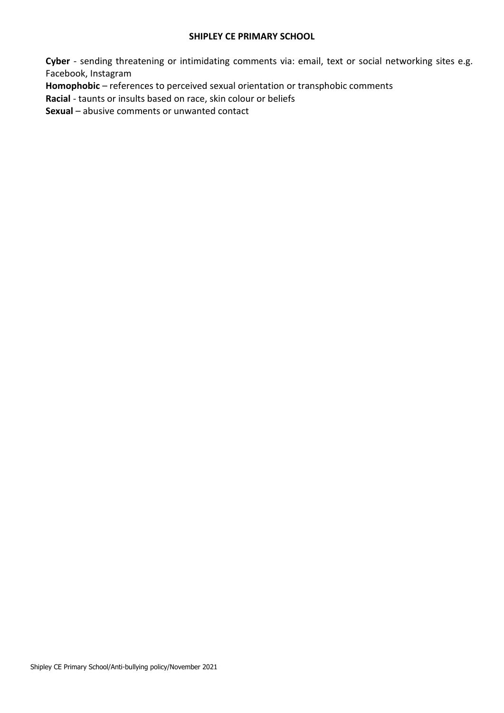#### **SHIPLEY CE PRIMARY SCHOOL**

**Cyber** - sending threatening or intimidating comments via: email, text or social networking sites e.g. Facebook, Instagram

**Homophobic** – references to perceived sexual orientation or transphobic comments

**Racial** - taunts or insults based on race, skin colour or beliefs

**Sexual** – abusive comments or unwanted contact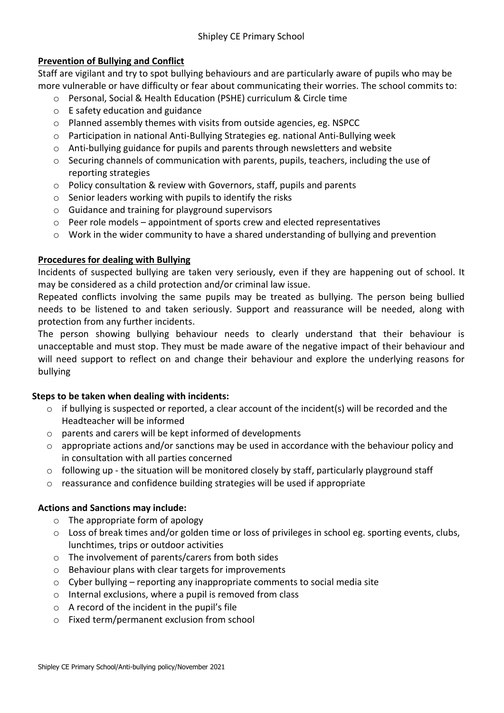## **Prevention of Bullying and Conflict**

Staff are vigilant and try to spot bullying behaviours and are particularly aware of pupils who may be more vulnerable or have difficulty or fear about communicating their worries. The school commits to:

- o Personal, Social & Health Education (PSHE) curriculum & Circle time
- o E safety education and guidance
- o Planned assembly themes with visits from outside agencies, eg. NSPCC
- o Participation in national Anti-Bullying Strategies eg. national Anti-Bullying week
- $\circ$  Anti-bullying guidance for pupils and parents through newsletters and website
- o Securing channels of communication with parents, pupils, teachers, including the use of reporting strategies
- $\circ$  Policy consultation & review with Governors, staff, pupils and parents
- o Senior leaders working with pupils to identify the risks
- o Guidance and training for playground supervisors
- $\circ$  Peer role models appointment of sports crew and elected representatives
- $\circ$  Work in the wider community to have a shared understanding of bullying and prevention

## **Procedures for dealing with Bullying**

Incidents of suspected bullying are taken very seriously, even if they are happening out of school. It may be considered as a child protection and/or criminal law issue.

Repeated conflicts involving the same pupils may be treated as bullying. The person being bullied needs to be listened to and taken seriously. Support and reassurance will be needed, along with protection from any further incidents.

The person showing bullying behaviour needs to clearly understand that their behaviour is unacceptable and must stop. They must be made aware of the negative impact of their behaviour and will need support to reflect on and change their behaviour and explore the underlying reasons for bullying

## **Steps to be taken when dealing with incidents:**

- $\circ$  if bullying is suspected or reported, a clear account of the incident(s) will be recorded and the Headteacher will be informed
- o parents and carers will be kept informed of developments
- o appropriate actions and/or sanctions may be used in accordance with the behaviour policy and in consultation with all parties concerned
- $\circ$  following up the situation will be monitored closely by staff, particularly playground staff
- o reassurance and confidence building strategies will be used if appropriate

# **Actions and Sanctions may include:**

- o The appropriate form of apology
- $\circ$  Loss of break times and/or golden time or loss of privileges in school eg. sporting events, clubs, lunchtimes, trips or outdoor activities
- o The involvement of parents/carers from both sides
- o Behaviour plans with clear targets for improvements
- $\circ$  Cyber bullying reporting any inappropriate comments to social media site
- o Internal exclusions, where a pupil is removed from class
- o A record of the incident in the pupil's file
- o Fixed term/permanent exclusion from school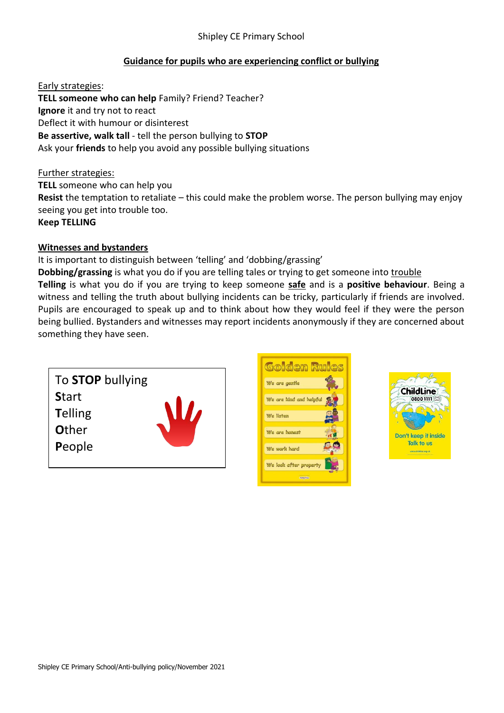## Shipley CE Primary School

## **Guidance for pupils who are experiencing conflict or bullying**

Early strategies: **TELL someone who can help** Family? Friend? Teacher? **Ignore** it and try not to react Deflect it with humour or disinterest **Be assertive, walk tall** - tell the person bullying to **STOP** Ask your **friends** to help you avoid any possible bullying situations

#### Further strategies:

**TELL** someone who can help you **Resist** the temptation to retaliate – this could make the problem worse. The person bullying may enjoy seeing you get into trouble too. **Keep TELLING**

#### **Witnesses and bystanders**

#### It is important to distinguish between 'telling' and 'dobbing/grassing'

**Dobbing/grassing** is what you do if you are telling tales or trying to get someone into trouble **Telling** is what you do if you are trying to keep someone **safe** and is a **positive behaviour**. Being a witness and telling the truth about bullying incidents can be tricky, particularly if friends are involved. Pupils are encouraged to speak up and to think about how they would feel if they were the person being bullied. Bystanders and witnesses may report incidents anonymously if they are concerned about something they have seen.